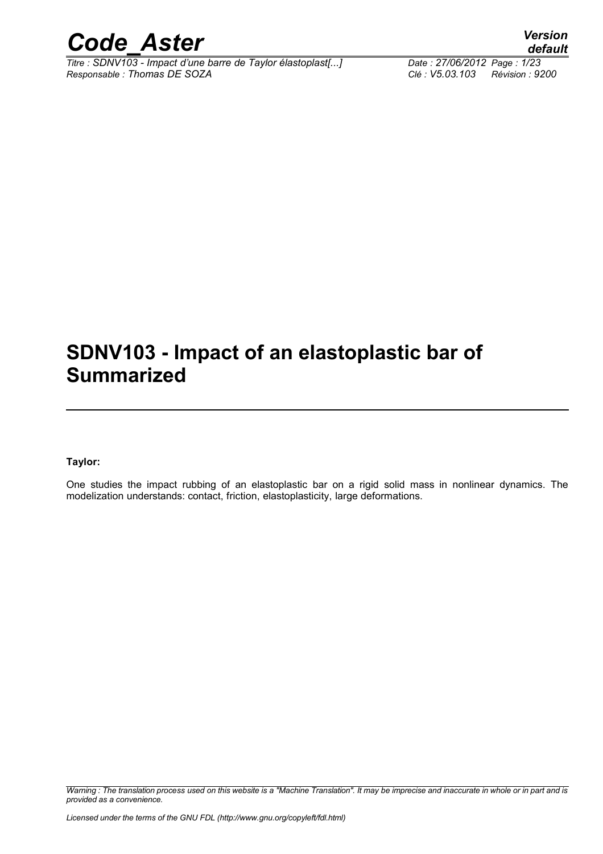

*Titre : SDNV103 - Impact d'une barre de Taylor élastoplast[...] Date : 27/06/2012 Page : 1/23 Responsable : Thomas DE SOZA Clé : V5.03.103 Révision : 9200*

### **SDNV103 - Impact of an elastoplastic bar of Summarized**

#### **Taylor:**

One studies the impact rubbing of an elastoplastic bar on a rigid solid mass in nonlinear dynamics. The modelization understands: contact, friction, elastoplasticity, large deformations.

*Warning : The translation process used on this website is a "Machine Translation". It may be imprecise and inaccurate in whole or in part and is provided as a convenience.*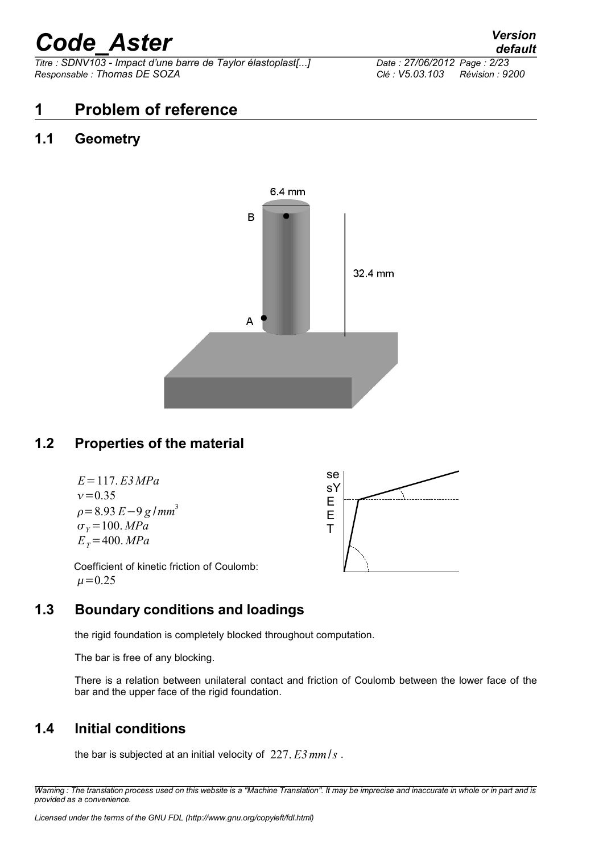*Titre : SDNV103 - Impact d'une barre de Taylor élastoplast[...] Date : 27/06/2012 Page : 2/23 Responsable : Thomas DE SOZA Clé : V5.03.103 Révision : 9200*

#### **1 Problem of reference**

#### **1.1 Geometry**



#### **1.2 Properties of the material**

*E*=117. *E3MPa*  $v = 0.35$ =8.93 *E*−9 *g* /*mm* 3  $\sigma_{y} = 100$ . *MPa*  $E_T = 400$ . *MPa* 



Coefficient of kinetic friction of Coulomb:  $\mu = 0.25$ 

#### **1.3 Boundary conditions and loadings**

the rigid foundation is completely blocked throughout computation.

The bar is free of any blocking.

There is a relation between unilateral contact and friction of Coulomb between the lower face of the bar and the upper face of the rigid foundation.

#### **1.4 Initial conditions**

the bar is subjected at an initial velocity of 227. *E3mm*/*s* .

*Warning : The translation process used on this website is a "Machine Translation". It may be imprecise and inaccurate in whole or in part and is provided as a convenience.*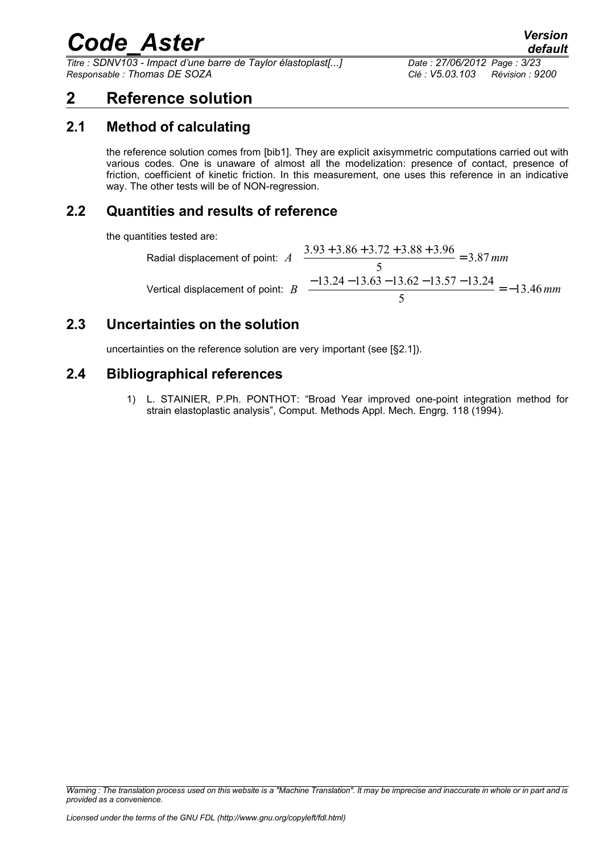*Titre : SDNV103 - Impact d'une barre de Taylor élastoplast[...] Date : 27/06/2012 Page : 3/23 Responsable : Thomas DE SOZA Clé : V5.03.103 Révision : 9200*

#### **2 Reference solution**

#### **2.1 Method of calculating**

the reference solution comes from [bib1]. They are explicit axisymmetric computations carried out with various codes. One is unaware of almost all the modelization: presence of contact, presence of friction, coefficient of kinetic friction. In this measurement, one uses this reference in an indicative way. The other tests will be of NON-regression.

#### **2.2 Quantities and results of reference**

the quantities tested are:

Radial displacement of point:

\n
$$
A = \frac{3.93 + 3.86 + 3.72 + 3.88 + 3.96}{5} = 3.87 \, \text{mm}
$$
\nVertical displacement of point:

\n
$$
B = \frac{-13.24 - 13.63 - 13.62 - 13.57 - 13.24}{5} = -13.46 \, \text{mm}
$$

#### **2.3 Uncertainties on the solution**

uncertainties on the reference solution are very important (see [§2.1]).

#### **2.4 Bibliographical references**

1) L. STAINIER, P.Ph. PONTHOT: "Broad Year improved one-point integration method for strain elastoplastic analysis", Comput. Methods Appl. Mech. Engrg. 118 (1994).

*Warning : The translation process used on this website is a "Machine Translation". It may be imprecise and inaccurate in whole or in part and is provided as a convenience.*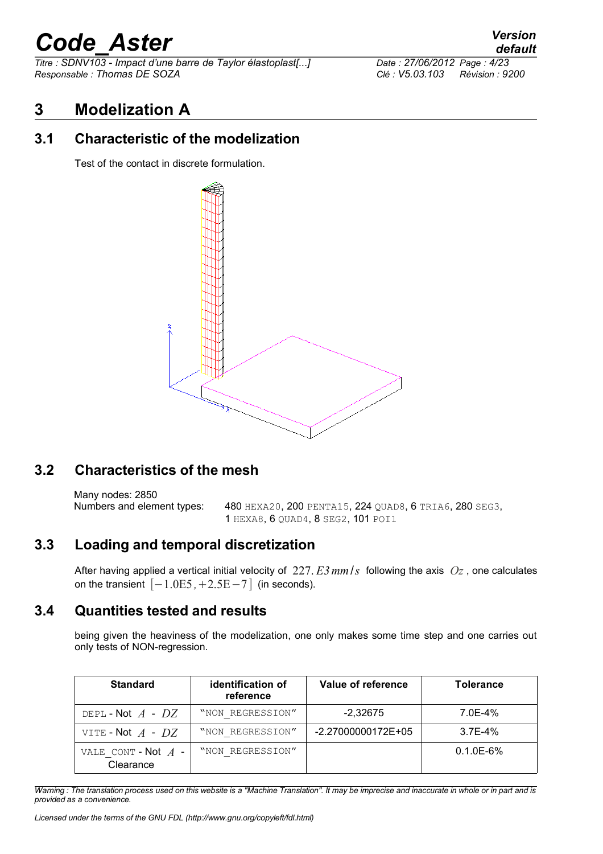*Titre : SDNV103 - Impact d'une barre de Taylor élastoplast[...] Date : 27/06/2012 Page : 4/23 Responsable : Thomas DE SOZA Clé : V5.03.103 Révision : 9200*

#### **3 Modelization A**

#### **3.1 Characteristic of the modelization**

Test of the contact in discrete formulation.



#### **3.2 Characteristics of the mesh**

Many nodes: 2850 Numbers and element types: 480 HEXA20, 200 PENTA15, 224 QUAD8, 6 TRIA6, 280 SEG3, 1 HEXA8, 6 QUAD4, 8 SEG2, 101 POI1

#### **3.3 Loading and temporal discretization**

After having applied a vertical initial velocity of 227. *E3mm*/*s* following the axis *Oz* , one calculates on the transient  $[-1.0E5, +2.5E-7]$  (in seconds).

#### **3.4 Quantities tested and results**

being given the heaviness of the modelization, one only makes some time step and one carries out only tests of NON-regression.

| <b>Standard</b>                    | identification of<br>reference | Value of reference | <b>Tolerance</b> |
|------------------------------------|--------------------------------|--------------------|------------------|
| DEPL-Not $A$ - $DZ$                | "NON REGRESSION"               | $-2.32675$         | 7.0E-4%          |
| VITE - Not $A$ - $DZ$              | "NON REGRESSION"               | -2.27000000172E+05 | $3.7F - 4%$      |
| VALE CONT - Not $A$ -<br>Clearance | "NON REGRESSION"               |                    | $0.1.0E - 6%$    |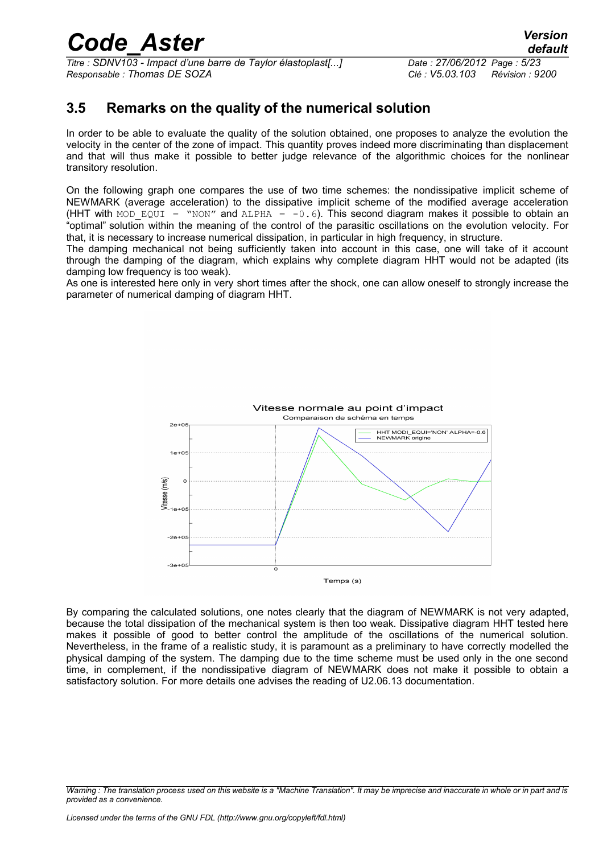*Titre : SDNV103 - Impact d'une barre de Taylor élastoplast[...] Date : 27/06/2012 Page : 5/23 Responsable : Thomas DE SOZA Clé : V5.03.103 Révision : 9200*

#### **3.5 Remarks on the quality of the numerical solution**

In order to be able to evaluate the quality of the solution obtained, one proposes to analyze the evolution the velocity in the center of the zone of impact. This quantity proves indeed more discriminating than displacement and that will thus make it possible to better judge relevance of the algorithmic choices for the nonlinear transitory resolution.

On the following graph one compares the use of two time schemes: the nondissipative implicit scheme of NEWMARK (average acceleration) to the dissipative implicit scheme of the modified average acceleration (HHT with MOD EQUI = "NON" and ALPHA =  $-0.6$ ). This second diagram makes it possible to obtain an "optimal" solution within the meaning of the control of the parasitic oscillations on the evolution velocity. For that, it is necessary to increase numerical dissipation, in particular in high frequency, in structure.

The damping mechanical not being sufficiently taken into account in this case, one will take of it account through the damping of the diagram, which explains why complete diagram HHT would not be adapted (its damping low frequency is too weak).

As one is interested here only in very short times after the shock, one can allow oneself to strongly increase the parameter of numerical damping of diagram HHT.



By comparing the calculated solutions, one notes clearly that the diagram of NEWMARK is not very adapted, because the total dissipation of the mechanical system is then too weak. Dissipative diagram HHT tested here makes it possible of good to better control the amplitude of the oscillations of the numerical solution. Nevertheless, in the frame of a realistic study, it is paramount as a preliminary to have correctly modelled the physical damping of the system. The damping due to the time scheme must be used only in the one second time, in complement, if the nondissipative diagram of NEWMARK does not make it possible to obtain a satisfactory solution. For more details one advises the reading of U2.06.13 documentation.

*Warning : The translation process used on this website is a "Machine Translation". It may be imprecise and inaccurate in whole or in part and is provided as a convenience.*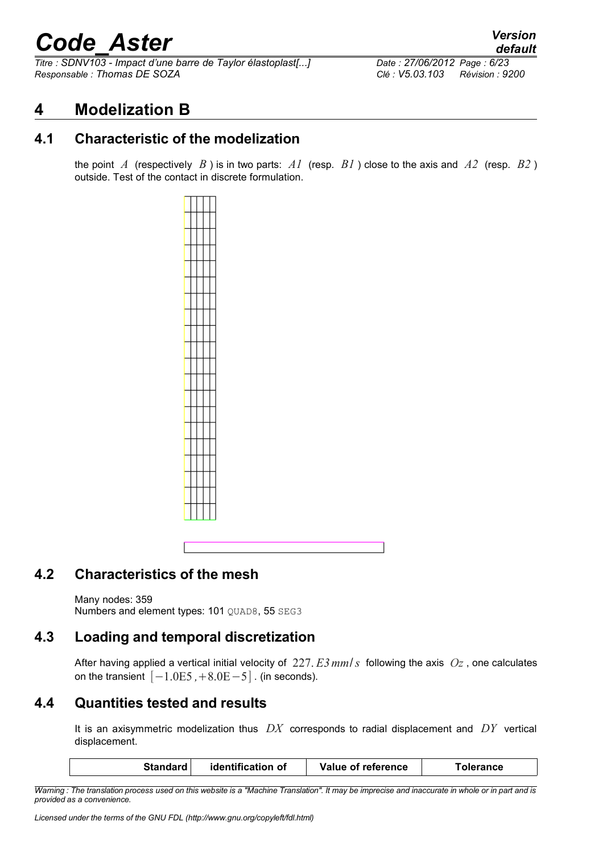*Titre : SDNV103 - Impact d'une barre de Taylor élastoplast[...] Date : 27/06/2012 Page : 6/23 Responsable : Thomas DE SOZA Clé : V5.03.103 Révision : 9200*

#### **4 Modelization B**

#### **4.1 Characteristic of the modelization**

the point *A* (respectively *B* ) is in two parts: *A1* (resp. *B1* ) close to the axis and *A2* (resp. *B2* ) outside. Test of the contact in discrete formulation.



#### **4.2 Characteristics of the mesh**

Many nodes: 359

Numbers and element types: 101 QUAD8, 55 SEG3

#### **4.3 Loading and temporal discretization**

After having applied a vertical initial velocity of 227. *E3mm*/*s* following the axis *Oz* , one calculates on the transient  $[-1.0E5, +8.0E-5]$ . (in seconds).

#### **4.4 Quantities tested and results**

It is an axisymmetric modelization thus *DX* corresponds to radial displacement and *DY* vertical displacement.

| <b>Standard</b> | identification of | Value of reference | Tolerance |
|-----------------|-------------------|--------------------|-----------|
|                 |                   |                    |           |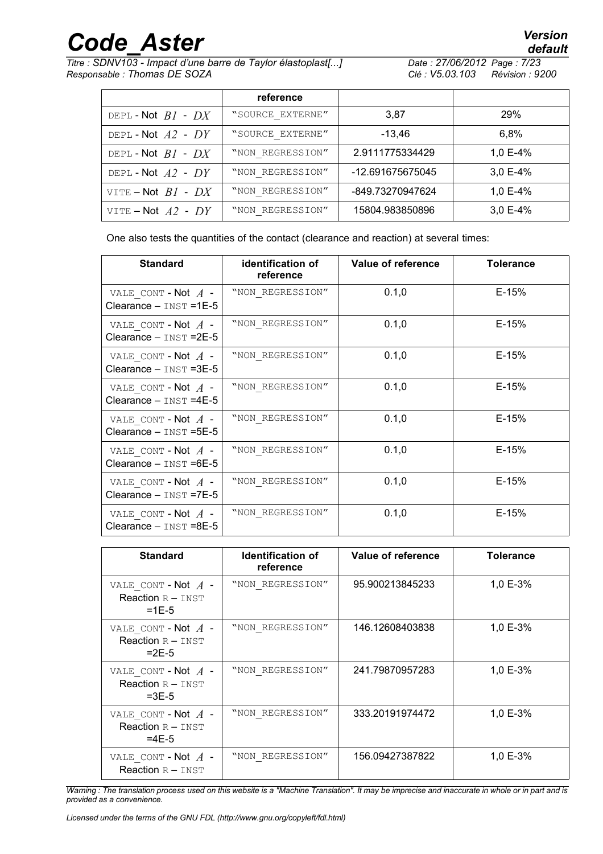*Titre : SDNV103 - Impact d'une barre de Taylor élastoplast[...] Date : 27/06/2012 Page : 7/23 Responsable : Thomas DE SOZA Clé : V5.03.103 Révision : 9200*

|                        | reference        |                  |            |
|------------------------|------------------|------------------|------------|
| DEPL-Not $BI$ - $DX$   | "SOURCE EXTERNE" | 3.87             | <b>29%</b> |
| DEPL-Not $A2$ - $DY$   | "SOURCE EXTERNE" | -13.46           | $6.8\%$    |
| DEPL-Not $BI$ - $DX$   | "NON REGRESSION" | 2.9111775334429  | 1,0 E-4%   |
| DEPL-Not $A2$ - DY     | "NON REGRESSION" | -12.691675675045 | $3,0E-4%$  |
| VITE – Not $BI$ - $DX$ | "NON REGRESSION" | -849.73270947624 | 1,0 E-4%   |
| VITE – Not $A2$ - $DY$ | "NON REGRESSION" | 15804.983850896  | $3,0E-4%$  |

One also tests the quantities of the contact (clearance and reaction) at several times:

| <b>Standard</b>                                      | identification of<br>reference | Value of reference | <b>Tolerance</b> |
|------------------------------------------------------|--------------------------------|--------------------|------------------|
| VALE CONT - Not $A$ -<br>Clearance $-$ INST = 1E-5   | "NON REGRESSION"               | 0.1,0              | $E-15%$          |
| VALE CONT - Not $A$ -<br>Clearance $-$ INST = $2E-5$ | "NON REGRESSION"               | 0.1,0              | E-15%            |
| VALE CONT - Not $A$ -<br>Clearance $-$ INST = 3E-5   | "NON REGRESSION"               | 0.1,0              | E-15%            |
| VALE CONT - Not $A$ -<br>Clearance $-$ INST =4E-5    | "NON REGRESSION"               | 0.1,0              | $E-15%$          |
| VALE CONT - Not $A$ -<br>Clearance $-$ INST = $5E-5$ | "NON REGRESSION"               | 0.1,0              | $E-15%$          |
| VALE CONT - Not $A$ -<br>Clearance $-$ INST =6E-5    | "NON REGRESSION"               | 0.1,0              | $E-15%$          |
| VALE CONT - Not $A$ -<br>Clearance $-$ INST =7E-5    | "NON REGRESSION"               | 0.1,0              | $E-15%$          |
| VALE CONT - Not $A$ -<br>Clearance $-$ INST =8E-5    | "NON REGRESSION"               | 0.1,0              | $E-15%$          |

| <b>Standard</b>                                         | <b>Identification of</b><br>reference | Value of reference | Tolerance |
|---------------------------------------------------------|---------------------------------------|--------------------|-----------|
| VALE CONT - Not $A$ -<br>Reaction $R - INST$<br>$=1E-5$ | "NON REGRESSION"                      | 95.900213845233    | 1,0 E-3%  |
| VALE CONT - Not $A$ -<br>Reaction $R - INST$<br>$=2F-5$ | "NON REGRESSION"                      | 146.12608403838    | 1,0 E-3%  |
| VALE_CONT - Not $A$ -<br>Reaction $R - INST$<br>$=3E-5$ | "NON REGRESSION"                      | 241.79870957283    | 1,0 E-3%  |
| VALE CONT - Not $A$ -<br>Reaction $R - INST$<br>$=4E-5$ | "NON REGRESSION"                      | 333.20191974472    | 1,0 E-3%  |
| VALE CONT - Not $A$ -<br>Reaction $R - INST$            | "NON REGRESSION"                      | 156.09427387822    | 1,0 E-3%  |

*Warning : The translation process used on this website is a "Machine Translation". It may be imprecise and inaccurate in whole or in part and is provided as a convenience.*

*Licensed under the terms of the GNU FDL (http://www.gnu.org/copyleft/fdl.html)*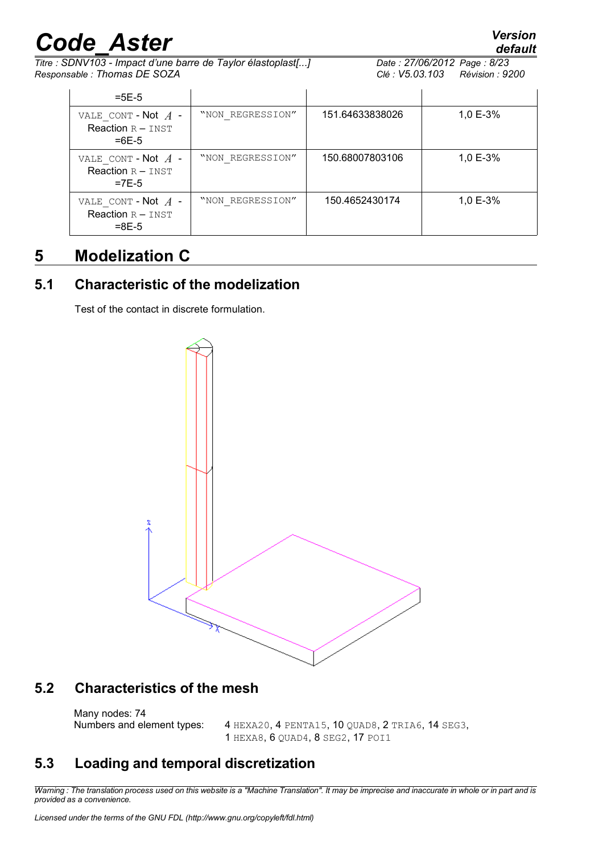*Titre : SDNV103 - Impact d'une barre de Taylor élastoplast[...] Date : 27/06/2012 Page : 8/23 Responsable : Thomas DE SOZA Clé : V5.03.103 Révision : 9200*

*default*

| $=5E-5$                                                 |                  |                 |          |
|---------------------------------------------------------|------------------|-----------------|----------|
| VALE CONT - Not $A$ -<br>Reaction $R - INST$<br>$=6F-5$ | "NON REGRESSION" | 151.64633838026 | 1,0 E-3% |
| VALE CONT - Not $A$ -<br>Reaction $R - INST$<br>$=7E-5$ | "NON REGRESSION" | 150.68007803106 | 1,0 E-3% |
| VALE CONT - Not $A$ -<br>Reaction $R - INST$<br>$=8E-5$ | "NON REGRESSION" | 150.4652430174  | 1,0 E-3% |

### **5 Modelization C**

#### **5.1 Characteristic of the modelization**

Test of the contact in discrete formulation.



#### **5.2 Characteristics of the mesh**

Many nodes: 74

Numbers and element types: 4 HEXA20, 4 PENTA15, 10 QUAD8, 2 TRIA6, 14 SEG3, 1 HEXA8, 6 QUAD4, 8 SEG2, 17 POI1

#### **5.3 Loading and temporal discretization**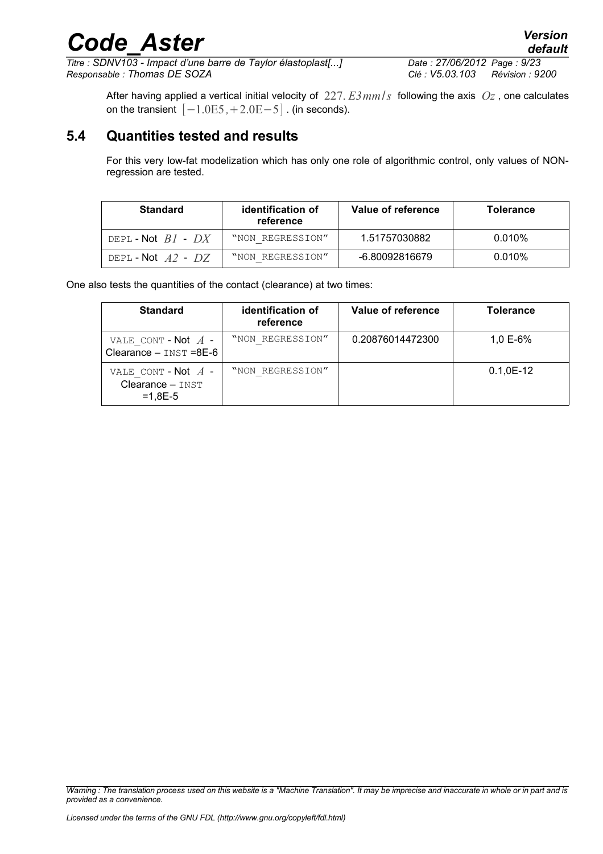*Titre : SDNV103 - Impact d'une barre de Taylor élastoplast[...] Date : 27/06/2012 Page : 9/23 Responsable : Thomas DE SOZA Clé : V5.03.103 Révision : 9200*

After having applied a vertical initial velocity of 227. *E3mm*/*s* following the axis *Oz* , one calculates on the transient  $[-1.0E5, +2.0E-5]$ . (in seconds).

#### **5.4 Quantities tested and results**

For this very low-fat modelization which has only one role of algorithmic control, only values of NONregression are tested.

| <b>Standard</b>      | identification of<br>reference | Value of reference | <b>Tolerance</b> |
|----------------------|--------------------------------|--------------------|------------------|
| DEPL-Not $BI$ - $DX$ | "NON REGRESSION"               | 1.51757030882      | $0.010\%$        |
| DEPL-Not $A2$ - $DZ$ | "NON REGRESSION"               | -6.80092816679     | $0.010\%$        |

One also tests the quantities of the contact (clearance) at two times:

| <b>Standard</b>                                          | identification of<br>reference | Value of reference | <b>Tolerance</b> |
|----------------------------------------------------------|--------------------------------|--------------------|------------------|
| VALE CONT - Not $A$ -<br>Clearance - INST =8E-6          | "NON REGRESSION"               | 0.20876014472300   | 1,0 E-6%         |
| VALE CONT - Not $A$ -<br>$Clearance - INST$<br>$=1.8E-5$ | "NON REGRESSION"               |                    | $0.1, 0E-12$     |

*Warning : The translation process used on this website is a "Machine Translation". It may be imprecise and inaccurate in whole or in part and is provided as a convenience.*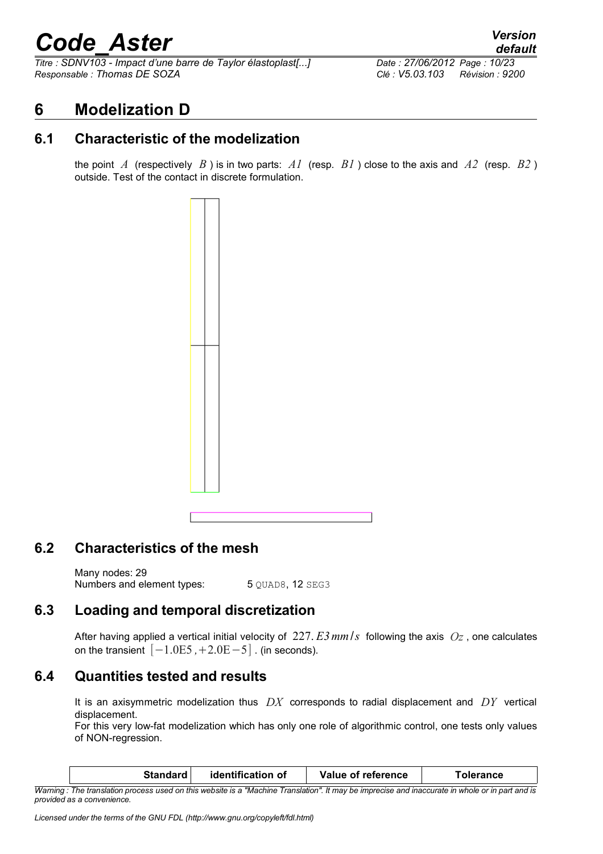*Titre : SDNV103 - Impact d'une barre de Taylor élastoplast[...] Date : 27/06/2012 Page : 10/23 Responsable : Thomas DE SOZA Clé : V5.03.103 Révision : 9200*

#### **6 Modelization D**

#### **6.1 Characteristic of the modelization**

the point *A* (respectively *B* ) is in two parts: *A1* (resp. *B1* ) close to the axis and *A2* (resp. *B2* ) outside. Test of the contact in discrete formulation.



#### **6.2 Characteristics of the mesh**

Many nodes: 29 Numbers and element types: 5 OUAD8, 12 SEG3

#### **6.3 Loading and temporal discretization**

After having applied a vertical initial velocity of 227. *E3mm*/*s* following the axis *Oz* , one calculates on the transient  $[-1.0E5, +2.0E-5]$ . (in seconds).

#### **6.4 Quantities tested and results**

It is an axisymmetric modelization thus *DX* corresponds to radial displacement and *DY* vertical displacement.

For this very low-fat modelization which has only one role of algorithmic control, one tests only values of NON-regression.

| <b>Standard</b>                                                                                                                                           | identification of | Value of reference | Tolerance |
|-----------------------------------------------------------------------------------------------------------------------------------------------------------|-------------------|--------------------|-----------|
| 14/amine : The translation nucleos coard on this cochecite is a Milaghine Translational it may be immuneted and incorporate in colorate and income and in |                   |                    |           |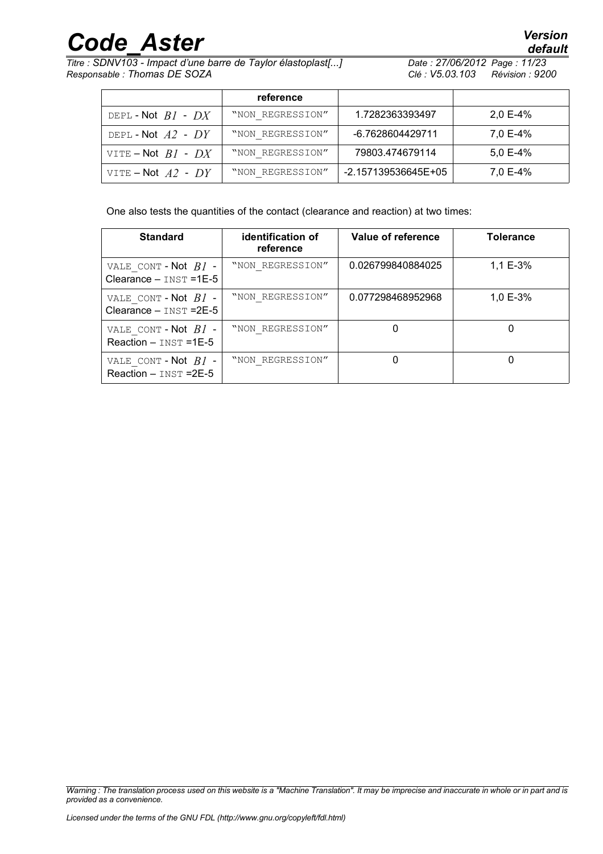*Titre : SDNV103 - Impact d'une barre de Taylor élastoplast[...] Date : 27/06/2012 Page : 11/23 Responsable : Thomas DE SOZA Clé : V5.03.103 Révision : 9200*

|                        | reference        |                     |            |
|------------------------|------------------|---------------------|------------|
| DEPL-Not $BI$ - $DX$   | "NON REGRESSION" | 1.7282363393497     | $2,0 E-4%$ |
| DEPL-Not $A2$ - $DY$   | "NON REGRESSION" | -6.7628604429711    | 7,0 E-4%   |
| VITE – Not $BI$ - $DX$ | "NON REGRESSION" | 79803.474679114     | $5,0 E-4%$ |
| VITE – Not $A2$ - $DY$ | "NON REGRESSION" | -2.157139536645E+05 | 7,0 E-4%   |

One also tests the quantities of the contact (clearance and reaction) at two times:

| <b>Standard</b>                                       | identification of<br>reference | Value of reference | <b>Tolerance</b> |
|-------------------------------------------------------|--------------------------------|--------------------|------------------|
| VALE CONT - Not $BI$ -<br>Clearance $-$ INST = 1E-5   | "NON REGRESSION"               | 0.026799840884025  | 1,1 E-3%         |
| VALE CONT - Not $BI$ -<br>Clearance $-$ INST = $2E-5$ | "NON REGRESSION"               | 0.077298468952968  | 1,0 E-3%         |
| VALE CONT - Not $BI$ -<br>Reaction $-$ INST =1E-5     | "NON REGRESSION"               |                    |                  |
| VALE CONT - Not $BI$ -<br>Reaction $-$ INST = $2E-5$  | "NON REGRESSION"               |                    |                  |

*Warning : The translation process used on this website is a "Machine Translation". It may be imprecise and inaccurate in whole or in part and is provided as a convenience.*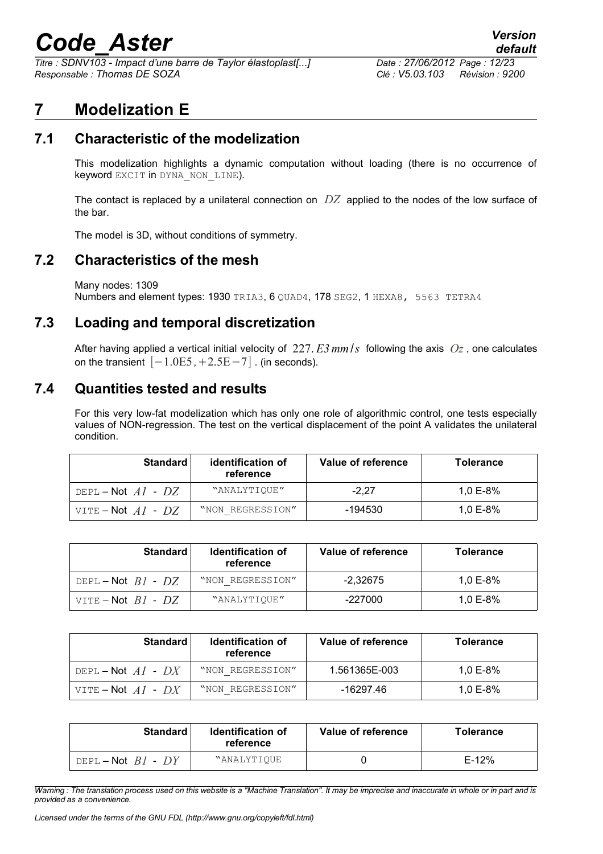*Titre : SDNV103 - Impact d'une barre de Taylor élastoplast[...] Date : 27/06/2012 Page : 12/23 Responsable : Thomas DE SOZA Clé : V5.03.103 Révision : 9200*

#### **7 Modelization E**

#### **7.1 Characteristic of the modelization**

This modelization highlights a dynamic computation without loading (there is no occurrence of keyword EXCIT in DYNA NON LINE).

The contact is replaced by a unilateral connection on *DZ* applied to the nodes of the low surface of the bar.

The model is 3D, without conditions of symmetry.

#### **7.2 Characteristics of the mesh**

Many nodes: 1309 Numbers and element types: 1930 TRIA3, 6 OUAD4, 178 SEG2, 1 HEXA8, 5563 TETRA4

#### **7.3 Loading and temporal discretization**

After having applied a vertical initial velocity of 227. *E3mm*/*s* following the axis *Oz* , one calculates on the transient  $[-1.0E5, +2.5E-7]$  . (in seconds).

#### **7.4 Quantities tested and results**

For this very low-fat modelization which has only one role of algorithmic control, one tests especially values of NON-regression. The test on the vertical displacement of the point A validates the unilateral condition.

| <b>Standard</b>        | identification of<br>reference | Value of reference | <b>Tolerance</b> |
|------------------------|--------------------------------|--------------------|------------------|
| DEPL-Not $AI$ - $DZ$   | "ANALYTIOUE"                   | $-2.27$            | 1.0 E-8%         |
| VITE – Not $AI$ - $DZ$ | "NON REGRESSION"               | -194530            | 1.0 E-8%         |

| Standard               | <b>Identification of</b><br>reference | Value of reference | <b>Tolerance</b> |
|------------------------|---------------------------------------|--------------------|------------------|
| DEPL-Not $BI$ - $DZ$   | "NON REGRESSION"                      | $-2.32675$         | 1.0 E-8%         |
| VITE – Not $BI$ - $DZ$ | "ANALYTIOUE"                          | -227000            | 1.0 $E-8%$       |

| <b>Standard</b>        | <b>Identification of</b><br>reference | Value of reference | <b>Tolerance</b> |
|------------------------|---------------------------------------|--------------------|------------------|
| DEPL – Not $AI$ – $DX$ | "NON REGRESSION"                      | 1.561365E-003      | 1.0 E-8%         |
| VITE – Not $AI$ - $DX$ | "NON REGRESSION"                      | -16297.46          | 1.0 E-8%         |

| <b>Standard</b>        | <b>Identification of</b><br>reference | Value of reference | <b>Tolerance</b> |
|------------------------|---------------------------------------|--------------------|------------------|
| DEPL – Not $BI$ - $DY$ | "ANALYTIOUE                           |                    | $E-12%$          |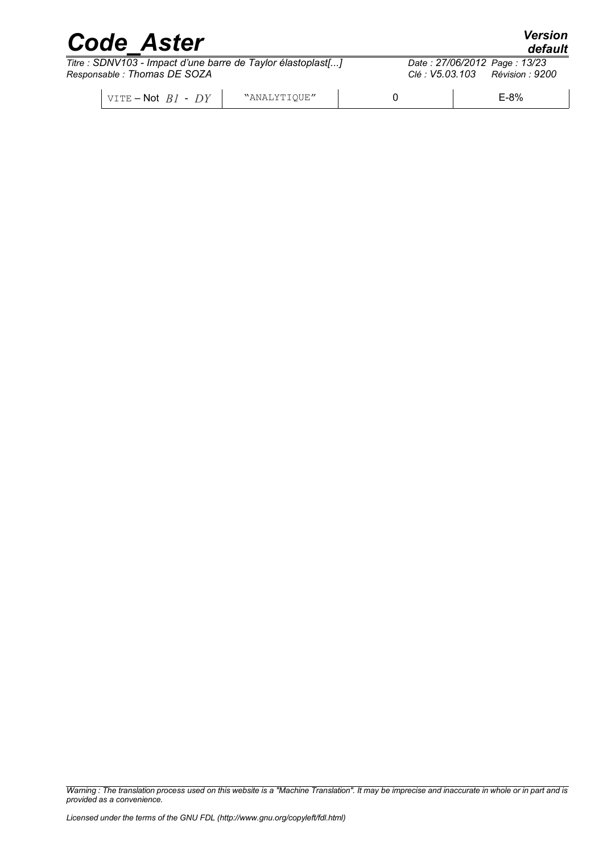| <b>Code Aster</b>                                                                           |              | <b>Version</b><br>default |                                                                 |
|---------------------------------------------------------------------------------------------|--------------|---------------------------|-----------------------------------------------------------------|
| Titre : SDNV103 - Impact d'une barre de Taylor élastoplast[]<br>Responsable: Thomas DE SOZA |              |                           | Date: 27/06/2012 Page: 13/23<br>Clé : V5.03.103 Révision : 9200 |
| $\overline{\vee}$ vite – Not $BI$ - $DY$                                                    | "ANALYTIQUE" |                           | $E-8%$                                                          |

*Warning : The translation process used on this website is a "Machine Translation". It may be imprecise and inaccurate in whole or in part and is provided as a convenience.*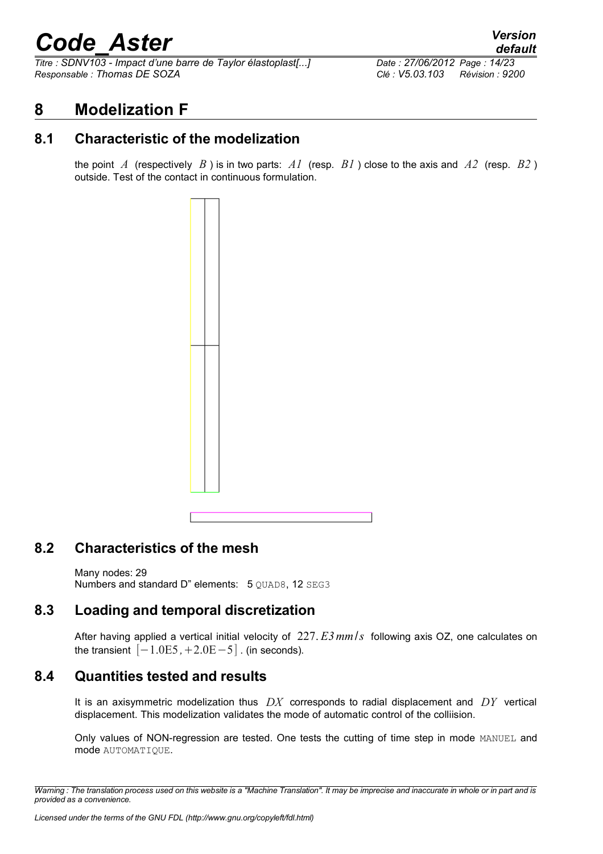*Titre : SDNV103 - Impact d'une barre de Taylor élastoplast[...] Date : 27/06/2012 Page : 14/23 Responsable : Thomas DE SOZA Clé : V5.03.103 Révision : 9200*

#### **8 Modelization F**

#### **8.1 Characteristic of the modelization**

the point *A* (respectively *B* ) is in two parts: *A1* (resp. *B1* ) close to the axis and *A2* (resp. *B2* ) outside. Test of the contact in continuous formulation.



#### **8.2 Characteristics of the mesh**

Many nodes: 29 Numbers and standard D" elements: 5 OUAD8, 12 SEG3

#### **8.3 Loading and temporal discretization**

After having applied a vertical initial velocity of 227. *E3mm*/*s* following axis OZ, one calculates on the transient  $[-1.0E5, +2.0E-5]$ . (in seconds).

#### **8.4 Quantities tested and results**

It is an axisymmetric modelization thus *DX* corresponds to radial displacement and *DY* vertical displacement. This modelization validates the mode of automatic control of the colliision.

Only values of NON-regression are tested. One tests the cutting of time step in mode MANUEL and mode AUTOMATIQUE.

*Warning : The translation process used on this website is a "Machine Translation". It may be imprecise and inaccurate in whole or in part and is provided as a convenience.*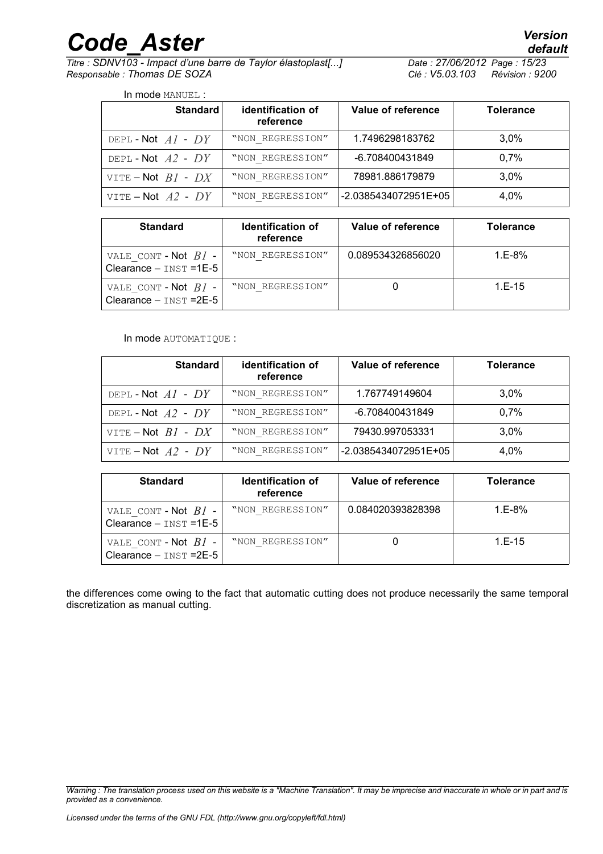*Titre : SDNV103 - Impact d'une barre de Taylor élastoplast[...] Date : 27/06/2012 Page : 15/23 Responsable : Thomas DE SOZA Clé : V5.03.103 Révision : 9200*

| In mode MANUEL :       |                                |                    |                  |  |
|------------------------|--------------------------------|--------------------|------------------|--|
| Standard               | identification of<br>reference | Value of reference | <b>Tolerance</b> |  |
| DEPL-Not $AI$ - $DY$   | "NON REGRESSION"               | 1.7496298183762    | 3.0%             |  |
| DEPL-Not $A2$ - DY     | "NON REGRESSION"               | -6.708400431849    | 0.7%             |  |
| VITE – Not $BI$ - $DX$ | "NON REGRESSION"               | 78981.886179879    | 3.0%             |  |

VITE – Not  $A2$  -  $DY$  | "NON REGRESSION"  $\vert$  -2.0385434072951E+05 4,0%

|  | In mode MANUEL. " |  |
|--|-------------------|--|

| <b>Standard</b>                                     | <b>Identification of</b><br>reference | Value of reference | <b>Tolerance</b> |
|-----------------------------------------------------|---------------------------------------|--------------------|------------------|
| VALE CONT - Not $BI$ -<br>Clearance $-$ INST = 1E-5 | "NON REGRESSION"                      | 0.089534326856020  | $1.E-8%$         |
| VALE CONT-Not $BI$ -<br>Clearance $-$ INST = $2E-5$ | "NON REGRESSION"                      |                    | $1.E-15$         |

#### In mode AUTOMATIQUE :

| <b>Standard</b>        | identification of<br>reference | Value of reference   | <b>Tolerance</b> |
|------------------------|--------------------------------|----------------------|------------------|
| DEPL-Not $AI$ - $DY$   | "NON REGRESSION"               | 1.767749149604       | $3.0\%$          |
| DEPL-Not $A2$ - $DY$   | "NON REGRESSION"               | -6.708400431849      | 0.7%             |
| VITE – Not $BI$ - $DX$ | "NON REGRESSION"               | 79430.997053331      | $3.0\%$          |
| VITE – Not $A2$ - $DY$ | "NON REGRESSION"               | -2.0385434072951E+05 | 4.0%             |

| <b>Standard</b>                                     | <b>Identification of</b><br>reference | Value of reference | <b>Tolerance</b> |
|-----------------------------------------------------|---------------------------------------|--------------------|------------------|
| VALE CONT - Not $BI$ -<br>Clearance $-$ INST =1E-5  | "NON REGRESSION"                      | 0.084020393828398  | $1.E-8%$         |
| VALE CONT - Not $BI$ -<br>Clearance $-$ INST = 2E-5 | "NON REGRESSION"                      |                    | $1. E - 15$      |

the differences come owing to the fact that automatic cutting does not produce necessarily the same temporal discretization as manual cutting.

*Warning : The translation process used on this website is a "Machine Translation". It may be imprecise and inaccurate in whole or in part and is provided as a convenience.*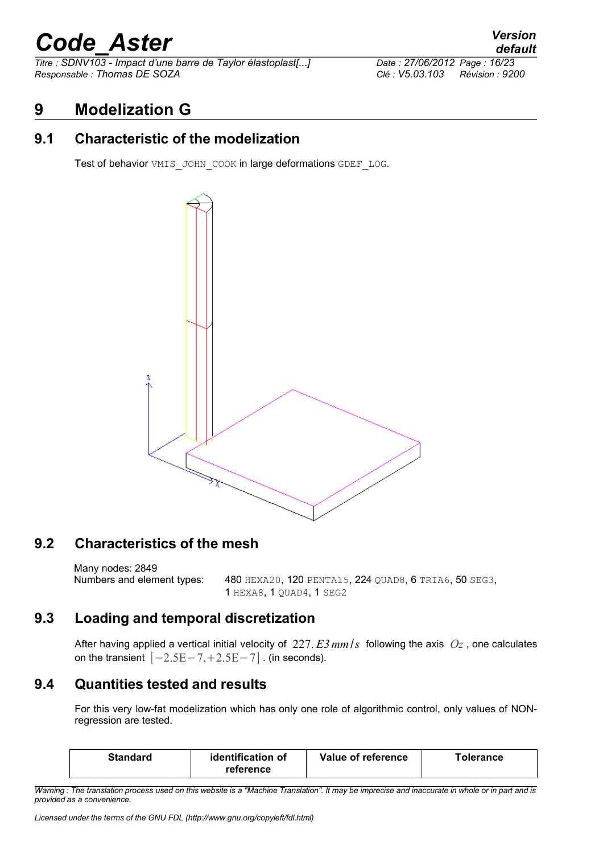*Titre : SDNV103 - Impact d'une barre de Taylor élastoplast[...] Date : 27/06/2012 Page : 16/23 Responsable : Thomas DE SOZA Clé : V5.03.103 Révision : 9200*

#### **9 Modelization G**

#### **9.1 Characteristic of the modelization**

Test of behavior VMIS\_JOHN\_COOK in large deformations GDEF\_LOG.



#### **9.2 Characteristics of the mesh**

Many nodes: 2849 Numbers and element types: 480 HEXA20, 120 PENTA15, 224 QUAD8, 6 TRIA6, 50 SEG3, 1 HEXA8, 1 QUAD4, 1 SEG2

#### **9.3 Loading and temporal discretization**

After having applied a vertical initial velocity of 227. *E3mm*/*s* following the axis *Oz* , one calculates on the transient  $[-2.5E-7,+2.5E-7]$  . (in seconds).

#### **9.4 Quantities tested and results**

For this very low-fat modelization which has only one role of algorithmic control, only values of NONregression are tested.

| Standard | identification of<br>reference | Value of reference | ™olerance |
|----------|--------------------------------|--------------------|-----------|
|----------|--------------------------------|--------------------|-----------|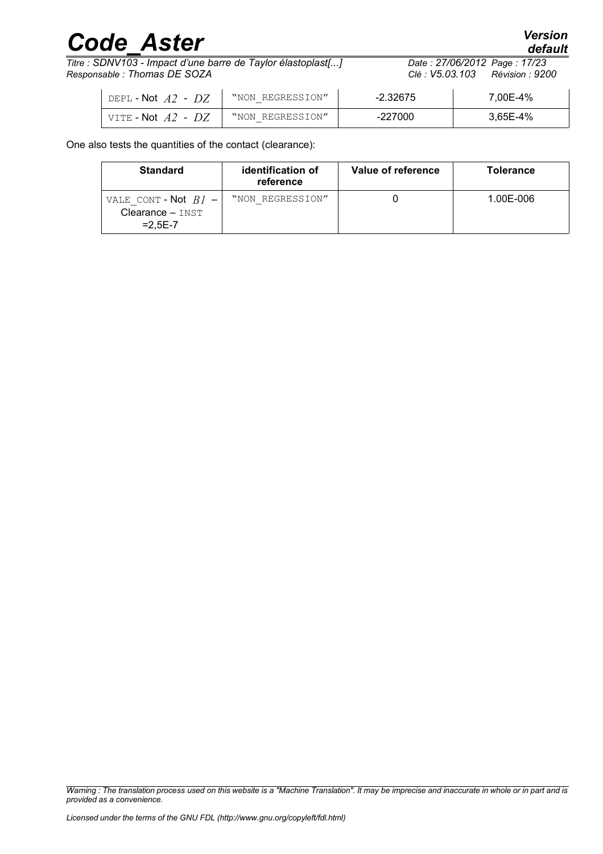*Titre : SDNV103 - Impact d'une barre de Taylor élastoplast[...] Date : 27/06/2012 Page : 17/23 Responsable : Thomas DE SOZA Clé : V5.03.103 Révision : 9200*

| DEPL - $\mathsf{Not}$ $A2$ - $DZ$ | "NON REGRESSION" | $-2.32675$ | 7.00E-4% |
|-----------------------------------|------------------|------------|----------|
| VITE - Not $A2$ - $DZ$            | "NON REGRESSION" | $-227000$  | 3.65E-4% |

One also tests the quantities of the contact (clearance):

| <b>Standard</b>                                           | identification of<br>reference | Value of reference | <b>Tolerance</b> |
|-----------------------------------------------------------|--------------------------------|--------------------|------------------|
| VALE CONT - Not $BI$ -<br>$Clearance - INST$<br>$=2.5E-7$ | "NON REGRESSION"               |                    | 1.00E-006        |

*Warning : The translation process used on this website is a "Machine Translation". It may be imprecise and inaccurate in whole or in part and is provided as a convenience.*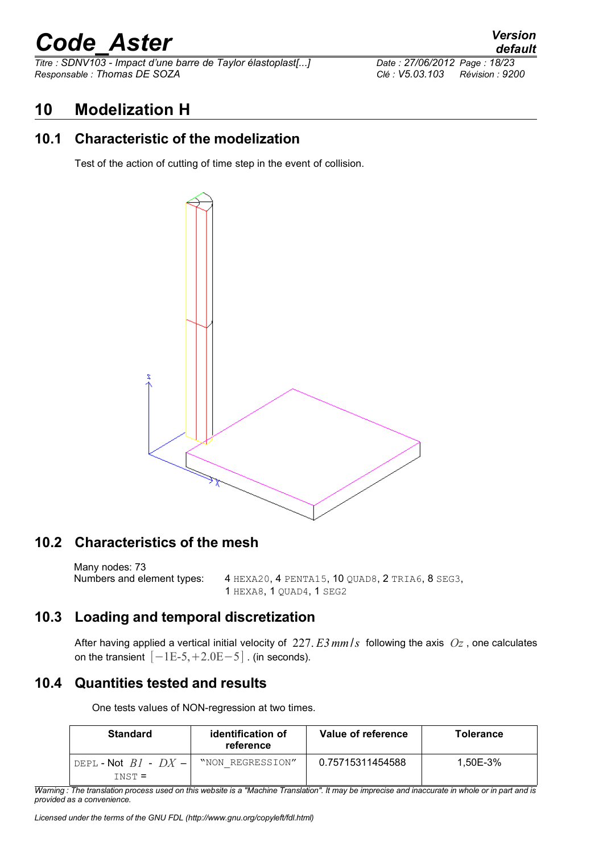*Titre : SDNV103 - Impact d'une barre de Taylor élastoplast[...] Date : 27/06/2012 Page : 18/23 Responsable : Thomas DE SOZA Clé : V5.03.103 Révision : 9200*

#### **10 Modelization H**

#### **10.1 Characteristic of the modelization**

Test of the action of cutting of time step in the event of collision.



#### **10.2 Characteristics of the mesh**

Many nodes: 73 Numbers and element types: 4 HEXA20, 4 PENTA15, 10 QUAD8, 2 TRIA6, 8 SEG3, 1 HEXA8, 1 QUAD4, 1 SEG2

#### **10.3 Loading and temporal discretization**

After having applied a vertical initial velocity of 227. *E3mm*/*s* following the axis *Oz* , one calculates on the transient  $[-1E-5,+2.0E-5]$  . (in seconds).

#### **10.4 Quantities tested and results**

One tests values of NON-regression at two times.

| <b>Standard</b>      | identification of<br>reference | Value of reference | <b>Tolerance</b> |
|----------------------|--------------------------------|--------------------|------------------|
| DEPL-Not $B1 - DX -$ | "NON REGRESSION"               | 0.75715311454588   | 1.50E-3%         |
| $TNST =$             |                                |                    |                  |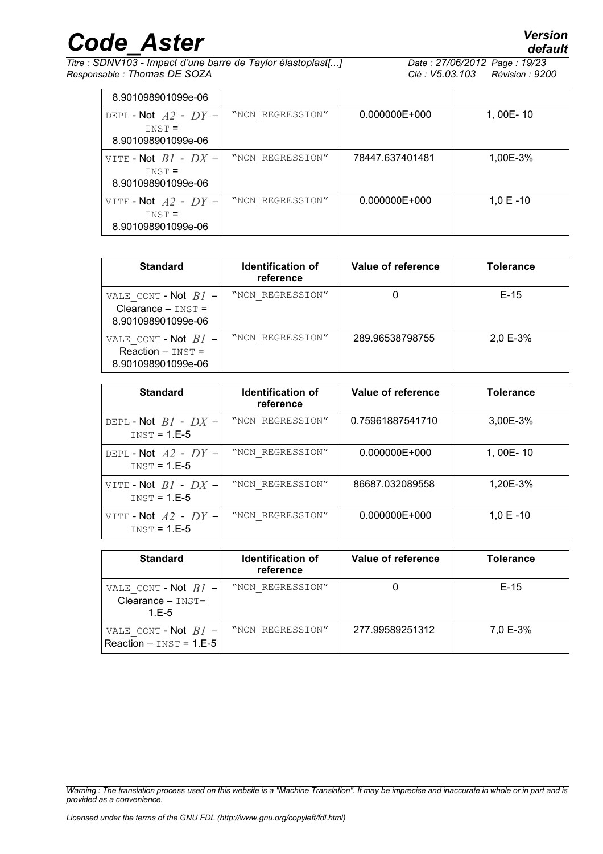*Titre : SDNV103 - Impact d'une barre de Taylor élastoplast[...] Date : 27/06/2012*<br>*Responsable : Thomas DE SOZA Clé : V5.03.103 Responsable : Thomas DE SOZA Clé : V5.03.103 Révision : 9200*

| 8.901098901099e-06                                         |                  |                   |                |
|------------------------------------------------------------|------------------|-------------------|----------------|
| DEPL-Not $A2$ - $DY$ -<br>$INST =$<br>8.901098901099e-06   | "NON REGRESSION" | $0.000000E + 000$ | 1, 00E-10      |
| VITE-Not $B1 - DX -$<br>$INST =$<br>8.901098901099e-06     | "NON REGRESSION" | 78447.637401481   | 1,00E-3%       |
| VITE - Not $A2$ - $DY -$<br>$INST =$<br>8.901098901099e-06 | "NON REGRESSION" | $0.000000E + 000$ | $1,0 \tE - 10$ |

| <b>Standard</b>                                                      | <b>Identification of</b><br>reference | Value of reference | <b>Tolerance</b> |
|----------------------------------------------------------------------|---------------------------------------|--------------------|------------------|
| VALE CONT - Not $BI$ -<br>Clearance $-$ INST =<br>8.901098901099e-06 | "NON REGRESSION"                      |                    | $E-15$           |
| VALE CONT - Not $BI$ -<br>$Reaction - INST =$<br>8.901098901099e-06  | "NON REGRESSION"                      | 289.96538798755    | 2,0 E-3%         |

| <b>Standard</b>                            | <b>Identification of</b><br>reference | Value of reference | <b>Tolerance</b> |
|--------------------------------------------|---------------------------------------|--------------------|------------------|
| DEPL-Not $BI$ - $DX$ -<br>$INST = 1.E-5$   | "NON REGRESSION"                      | 0.75961887541710   | 3,00E-3%         |
| DEPL-Not $A2$ - $DY-$<br>$INST = 1.E-5$    | "NON REGRESSION"                      | $0.000000E + 000$  | 1, 00E-10        |
| VITE - Not $BI$ - $DX$ -<br>$INST = 1.E-5$ | "NON REGRESSION"                      | 86687.032089558    | 1,20E-3%         |
| VITE - Not $A2$ - $DY-$<br>$INST = 1.E-5$  | "NON REGRESSION"                      | 0.000000E+000      | $1,0 E - 10$     |

| <b>Standard</b>                                           | Identification of<br>reference | Value of reference | <b>Tolerance</b> |
|-----------------------------------------------------------|--------------------------------|--------------------|------------------|
| VALE CONT - Not $BI$ -<br>$Clearance - INST =$<br>$1.E-5$ | "NON REGRESSION"               |                    | $E-15$           |
| VALE CONT - Not $BI$ -<br>Reaction $-$ INST = 1.E-5       | "NON REGRESSION"               | 277.99589251312    | 7,0 E-3%         |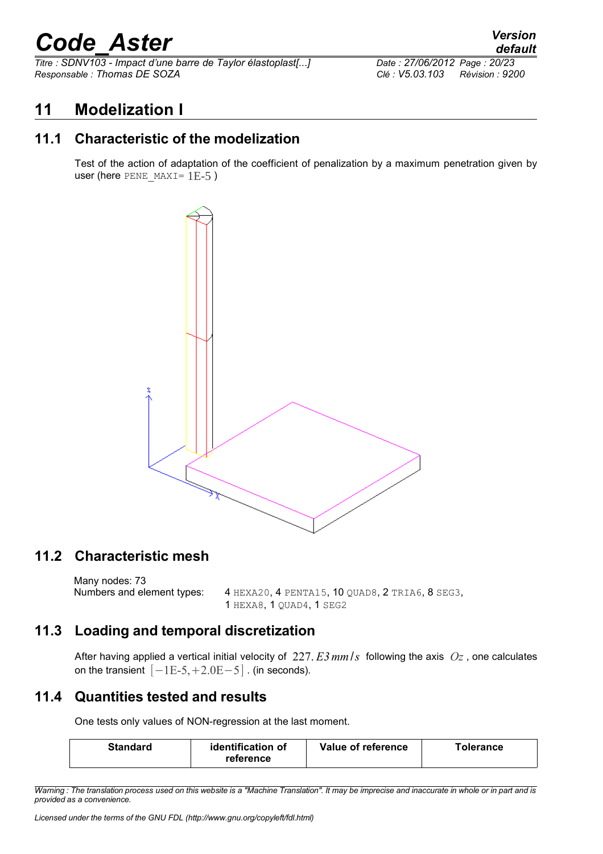*Titre : SDNV103 - Impact d'une barre de Taylor élastoplast[...] Date : 27/06/2012 Page : 20/23 Responsable : Thomas DE SOZA Clé : V5.03.103 Révision : 9200*

#### **11 Modelization I**

#### **11.1 Characteristic of the modelization**

Test of the action of adaptation of the coefficient of penalization by a maximum penetration given by user (here PENE MAXI=  $1E-5$ )



#### **11.2 Characteristic mesh**

Many nodes: 73<br>Numbers and element types:

4 HEXA20, 4 PENTA15, 10 QUAD8, 2 TRIA6, 8 SEG3, 1 HEXA8, 1 QUAD4, 1 SEG2

#### **11.3 Loading and temporal discretization**

After having applied a vertical initial velocity of 227. *E3mm*/*s* following the axis *Oz* , one calculates on the transient  $[-1E-5,+2.0E-5]$  . (in seconds).

#### **11.4 Quantities tested and results**

One tests only values of NON-regression at the last moment.

| identification of<br><b>Standard</b><br>reference | Value of reference | ™olerance |
|---------------------------------------------------|--------------------|-----------|
|---------------------------------------------------|--------------------|-----------|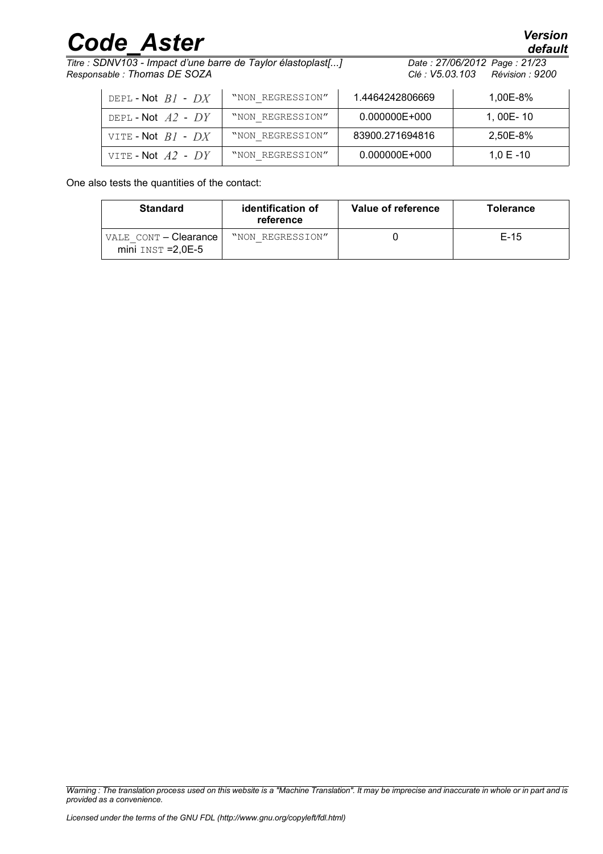*Titre : SDNV103 - Impact d'une barre de Taylor élastoplast[...] Date : 27/06/2012 Page : 21/23 Responsable : Thomas DE SOZA Clé : V5.03.103 Révision : 9200*

| DEPL-Not $BI$ - $DX$   | "NON REGRESSION" | 1.4464242806669 | 1.00E-8%     |
|------------------------|------------------|-----------------|--------------|
| DEPL-Not $A2$ - $DY$   | "NON REGRESSION" | 0.000000E+000   | 1.00E-10     |
| VITE-Not $BI$ - $DX$   | "NON REGRESSION" | 83900.271694816 | 2.50E-8%     |
| VITE - Not $A2$ - $DY$ | "NON REGRESSION" | 0.000000E+000   | $1.0 E - 10$ |

One also tests the quantities of the contact:

| <b>Standard</b>                               | identification of<br>reference | Value of reference | <b>Tolerance</b> |
|-----------------------------------------------|--------------------------------|--------------------|------------------|
| VALE CONT - Clearance<br>$mini$ INST = 2,0E-5 | "NON REGRESSION"               |                    | $E-15$           |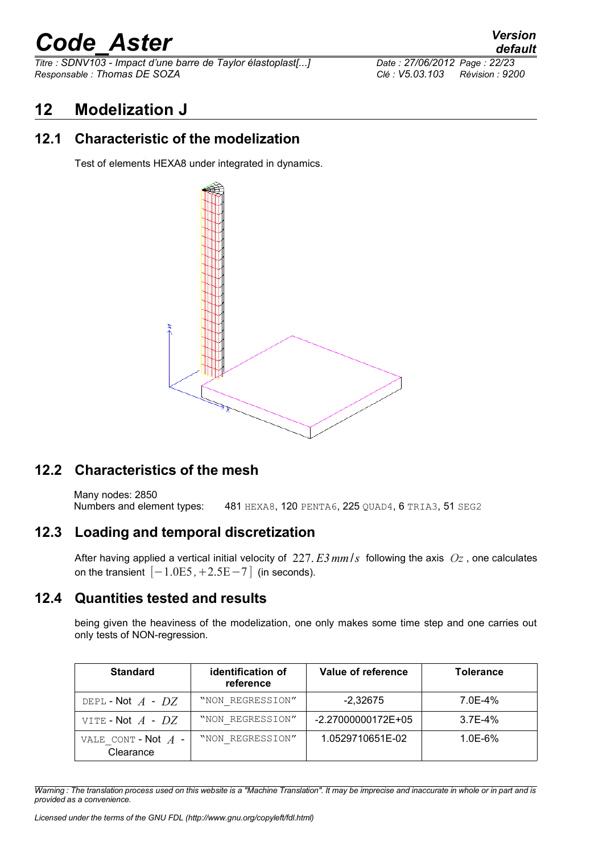*Titre : SDNV103 - Impact d'une barre de Taylor élastoplast[...] Date : 27/06/2012 Page : 22/23 Responsable : Thomas DE SOZA Clé : V5.03.103 Révision : 9200*

### *default*

#### **12 Modelization J**

#### **12.1 Characteristic of the modelization**

Test of elements HEXA8 under integrated in dynamics.



#### **12.2 Characteristics of the mesh**

Many nodes: 2850 Numbers and element types: 481 HEXA8, 120 PENTA6, 225 QUAD4, 6 TRIA3, 51 SEG2

#### **12.3 Loading and temporal discretization**

After having applied a vertical initial velocity of 227. *E3mm*/*s* following the axis *Oz* , one calculates on the transient  $[-1.0E5, +2.5E-7]$  (in seconds).

#### **12.4 Quantities tested and results**

being given the heaviness of the modelization, one only makes some time step and one carries out only tests of NON-regression.

| <b>Standard</b>                    | identification of<br>reference | Value of reference | <b>Tolerance</b> |
|------------------------------------|--------------------------------|--------------------|------------------|
| DEPL-Not $A$ - $DZ$                | "NON REGRESSION"               | $-2,32675$         | 7.0E-4%          |
| VITE - Not $A$ - $DZ$              | "NON REGRESSION"               | -2.27000000172E+05 | $3.7E - 4%$      |
| VALE CONT - Not $A$ -<br>Clearance | "NON REGRESSION"               | 1.0529710651E-02   | 1.0E-6%          |